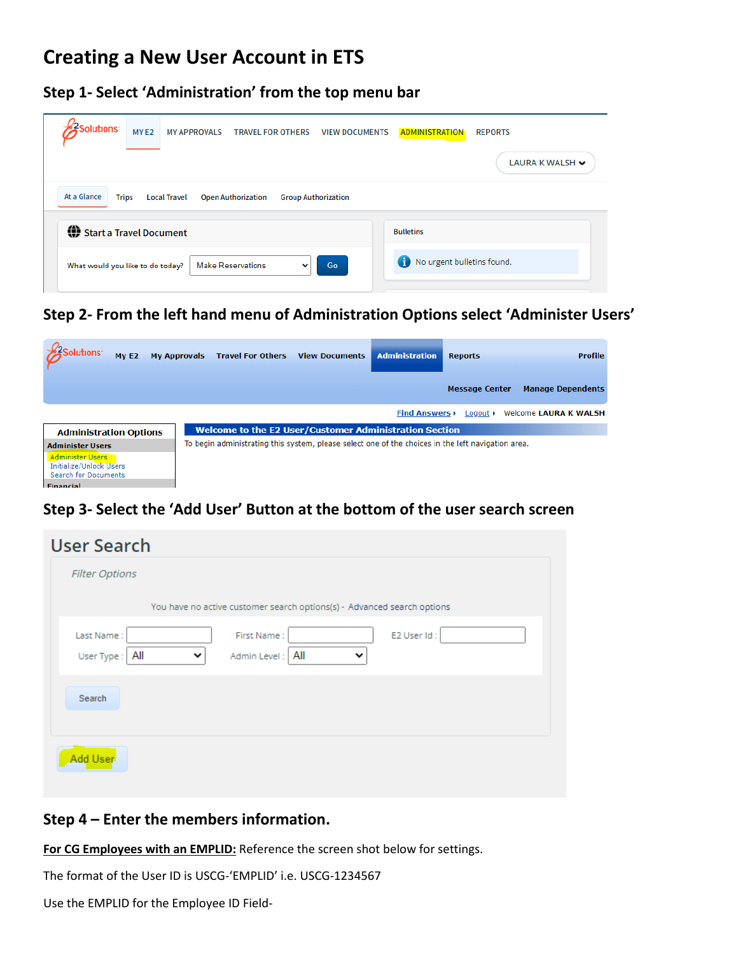# **Creating a New User Account in ETS**

**Step 1- Select 'Administration' from the top menu bar**

| <b>ZSolutions</b><br>MY <sub>E2</sub><br><b>MY APPROVALS</b><br><b>TRAVEL FOR OTHERS</b><br><b>VIEW DOCUMENTS</b> | <b>ADMINISTRATION</b><br><b>REPORTS</b> |
|-------------------------------------------------------------------------------------------------------------------|-----------------------------------------|
|                                                                                                                   | LAURA K WALSH V                         |
| At a Glance<br><b>Trips</b><br><b>Local Travel</b><br><b>Open Authorization</b><br><b>Group Authorization</b>     |                                         |
| Start a Travel Document                                                                                           | <b>Bulletins</b>                        |
| Go<br><b>Make Reservations</b><br>What would you like to do today?<br>$\check{ }$                                 | No urgent bulletins found.              |
|                                                                                                                   |                                         |

**Step 2- From the left hand menu of Administration Options select 'Administer Users'**

| slutions <sup>,</sup><br>MvE2                                                                         | My Approvals Travel For Others<br><b>View Documents</b>                                            | <b>Administration</b>    | <b>Reports</b>          | <b>Profile</b>               |
|-------------------------------------------------------------------------------------------------------|----------------------------------------------------------------------------------------------------|--------------------------|-------------------------|------------------------------|
|                                                                                                       |                                                                                                    |                          | <b>Message Center</b>   | <b>Manage Dependents</b>     |
|                                                                                                       |                                                                                                    | <b>Find Answers &gt;</b> | Logout $\triangleright$ | <b>Welcome LAURA K WALSH</b> |
| <b>Administration Options</b>                                                                         | <b>Welcome to the E2 User/Customer Administration Section</b>                                      |                          |                         |                              |
| <b>Administer Users</b><br><b>Administer Users</b><br>Initialize/Unlock Users<br>Search for Documents | To begin administrating this system, please select one of the choices in the left navigation area. |                          |                         |                              |

## **Step 3- Select the 'Add User' Button at the bottom of the user search screen**

| <b>User Search</b>                                                                    |
|---------------------------------------------------------------------------------------|
| <b>Filter Options</b>                                                                 |
| You have no active customer search options(s) - Advanced search options               |
| Last Name:<br>E2 User Id:<br>First Name:<br>Admin Level: All<br>User Type:   All<br>v |
| Search                                                                                |
| Add User                                                                              |

### **Step 4 – Enter the members information.**

**For CG Employees with an EMPLID:** Reference the screen shot below for settings.

The format of the User ID is USCG-'EMPLID' i.e. USCG-1234567

Use the EMPLID for the Employee ID Field-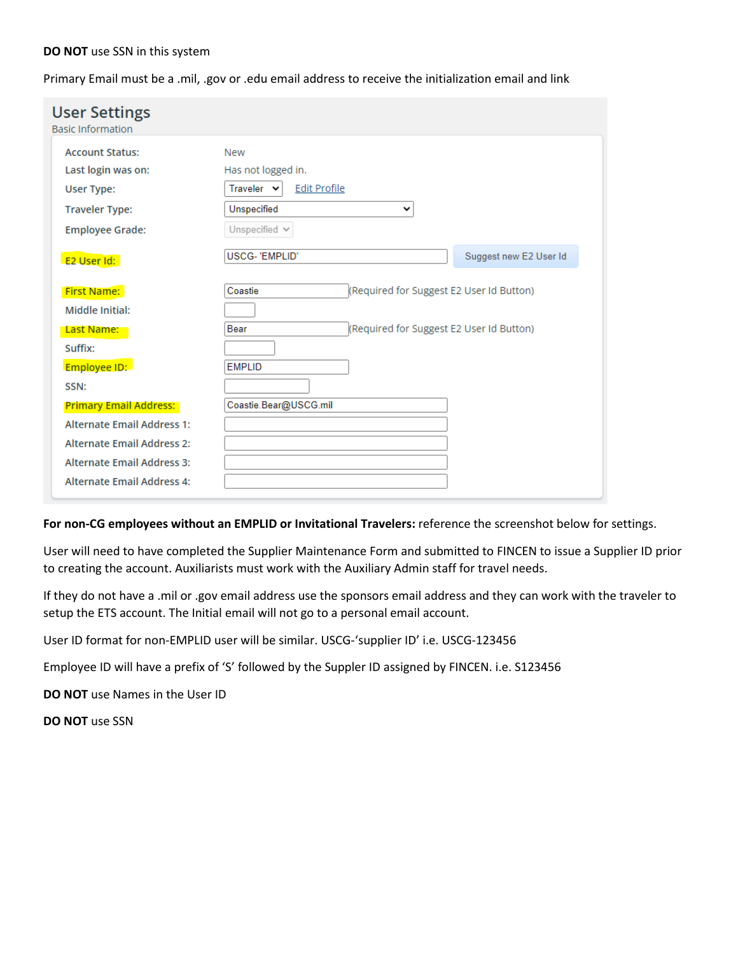#### **DO NOT** use SSN in this system

Primary Email must be a .mil, .gov or .edu email address to receive the initialization email and link

| <b>User Settings</b><br><b>Basic Information</b> |                                                     |                        |
|--------------------------------------------------|-----------------------------------------------------|------------------------|
| <b>Account Status:</b>                           | <b>New</b>                                          |                        |
| Last login was on:                               | Has not logged in.                                  |                        |
| User Type:                                       | Traveler v<br><b>Edit Profile</b>                   |                        |
| <b>Traveler Type:</b>                            | Unspecified<br>v                                    |                        |
| <b>Employee Grade:</b>                           | Unspecified $\vee$                                  |                        |
| E2 User Id:                                      | <b>USCG-'EMPLID'</b>                                | Suggest new E2 User Id |
| <b>First Name:</b>                               | (Required for Suggest E2 User Id Button)<br>Coastie |                        |
| Middle Initial:                                  |                                                     |                        |
| Last Name:                                       | Required for Suggest E2 User Id Button)<br>Bear     |                        |
| Suffix:                                          |                                                     |                        |
| Employee ID:                                     | <b>EMPLID</b>                                       |                        |
| SSN:                                             |                                                     |                        |
| <b>Primary Email Address:</b>                    | Coastie.Bear@USCG.mil                               |                        |
| <b>Alternate Email Address 1:</b>                |                                                     |                        |
| <b>Alternate Email Address 2:</b>                |                                                     |                        |
| <b>Alternate Email Address 3:</b>                |                                                     |                        |
| Alternate Email Address 4:                       |                                                     |                        |

#### **For non-CG employees without an EMPLID or Invitational Travelers:** reference the screenshot below for settings.

User will need to have completed the Supplier Maintenance Form and submitted to FINCEN to issue a Supplier ID prior to creating the account. Auxiliarists must work with the Auxiliary Admin staff for travel needs.

If they do not have a .mil or .gov email address use the sponsors email address and they can work with the traveler to setup the ETS account. The Initial email will not go to a personal email account.

User ID format for non-EMPLID user will be similar. USCG-'supplier ID' i.e. USCG-123456

Employee ID will have a prefix of 'S' followed by the Suppler ID assigned by FINCEN. i.e. S123456

**DO NOT** use Names in the User ID

**DO NOT** use SSN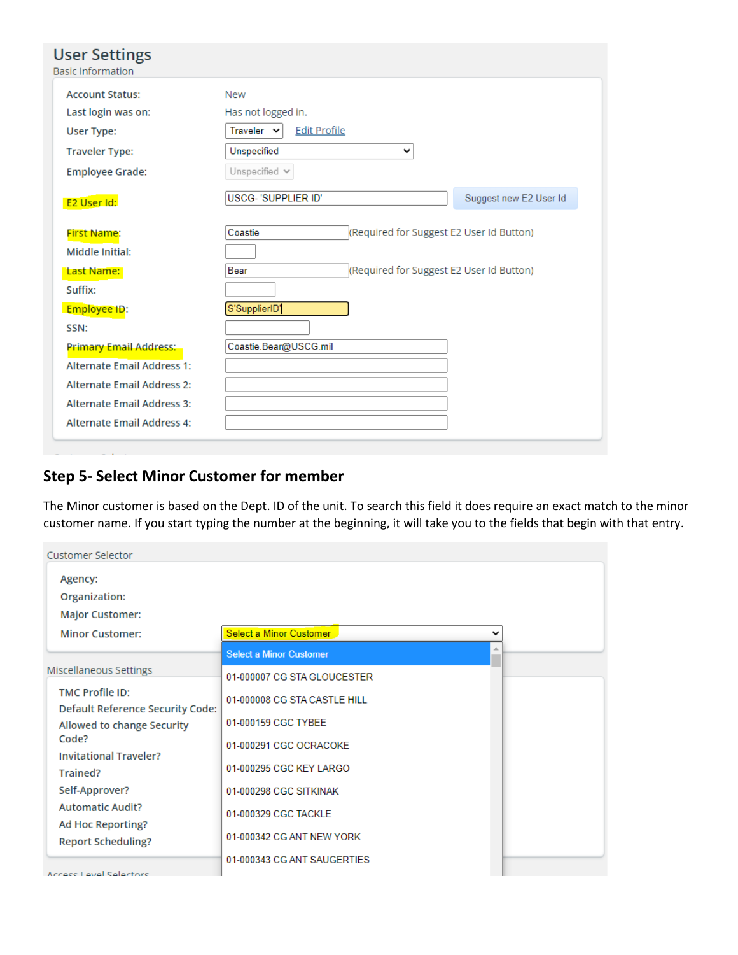| <b>User Settings</b><br><b>Basic Information</b> |                                                     |
|--------------------------------------------------|-----------------------------------------------------|
| <b>Account Status:</b>                           | <b>New</b>                                          |
| Last login was on:                               | Has not logged in.                                  |
| User Type:                                       | Traveler Y<br><b>Edit Profile</b>                   |
| <b>Traveler Type:</b>                            | Unspecified<br>v                                    |
| <b>Employee Grade:</b>                           | Unspecified $\vee$                                  |
| E2 User Id:                                      | USCG- 'SUPPLIER ID'<br>Suggest new E2 User Id       |
| First Name:                                      | (Required for Suggest E2 User Id Button)<br>Coastie |
| Middle Initial:                                  |                                                     |
| Last Name:                                       | (Required for Suggest E2 User Id Button)<br>Bear    |
| Suffix:                                          |                                                     |
| Employee ID:                                     | S'SupplierID'                                       |
| SSN:                                             |                                                     |
| <b>Primary Email Address:</b>                    | Coastie.Bear@USCG.mil                               |
| <b>Alternate Email Address 1:</b>                |                                                     |
| <b>Alternate Email Address 2:</b>                |                                                     |
| <b>Alternate Email Address 3:</b>                |                                                     |
| <b>Alternate Email Address 4:</b>                |                                                     |

## **Step 5- Select Minor Customer for member**

The Minor customer is based on the Dept. ID of the unit. To search this field it does require an exact match to the minor customer name. If you start typing the number at the beginning, it will take you to the fields that begin with that entry.

| <b>Customer Selector</b>                                          |                                        |  |
|-------------------------------------------------------------------|----------------------------------------|--|
| Agency:<br>Organization:                                          |                                        |  |
| <b>Major Customer:</b>                                            |                                        |  |
| <b>Minor Customer:</b>                                            | Select a Minor Customer<br>$\check{ }$ |  |
|                                                                   | <b>Select a Minor Customer</b>         |  |
| Miscellaneous Settings                                            | 01-000007 CG STA GLOUCESTER            |  |
| <b>TMC Profile ID:</b><br><b>Default Reference Security Code:</b> | 01-000008 CG STA CASTLE HILL           |  |
| Allowed to change Security                                        | 01-000159 CGC TYBEE                    |  |
| Code?<br><b>Invitational Traveler?</b>                            | 01-000291 CGC OCRACOKE                 |  |
| Trained?                                                          | 01-000295 CGC KEY LARGO                |  |
| Self-Approver?                                                    | 01-000298 CGC SITKINAK                 |  |
| <b>Automatic Audit?</b><br><b>Ad Hoc Reporting?</b>               | 01-000329 CGC TACKLE                   |  |
| <b>Report Scheduling?</b>                                         | 01-000342 CG ANT NEW YORK              |  |
| .                                                                 | 01-000343 CG ANT SAUGERTIES            |  |

Accade Laval Salactore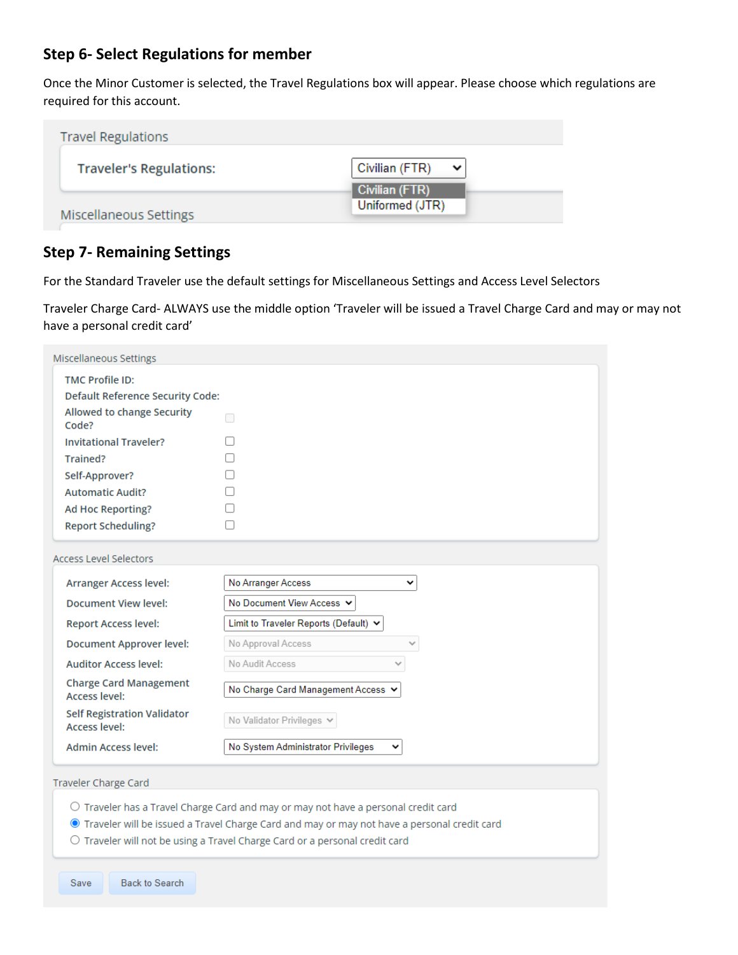## **Step 6- Select Regulations for member**

Once the Minor Customer is selected, the Travel Regulations box will appear. Please choose which regulations are required for this account.

| <b>Travel Regulations</b>      |                                   |
|--------------------------------|-----------------------------------|
| <b>Traveler's Regulations:</b> | Civilian (FTR)<br>v               |
| Miscellaneous Settings         | Civilian (FTR)<br>Uniformed (JTR) |

### **Step 7- Remaining Settings**

For the Standard Traveler use the default settings for Miscellaneous Settings and Access Level Selectors

Traveler Charge Card- ALWAYS use the middle option 'Traveler will be issued a Travel Charge Card and may or may not have a personal credit card'

| Miscellaneous Settings                                       |                                                      |
|--------------------------------------------------------------|------------------------------------------------------|
| <b>TMC Profile ID:</b>                                       |                                                      |
| <b>Default Reference Security Code:</b>                      |                                                      |
| Allowed to change Security<br>Code?                          | ┓                                                    |
| <b>Invitational Traveler?</b>                                |                                                      |
| Trained?                                                     |                                                      |
| Self-Approver?                                               |                                                      |
| <b>Automatic Audit?</b>                                      |                                                      |
| Ad Hoc Reporting?                                            |                                                      |
| <b>Report Scheduling?</b>                                    | □                                                    |
| <b>Arranger Access level:</b><br><b>Document View level:</b> | No Arranger Access<br>v<br>No Document View Access V |
| <b>Report Access level:</b>                                  | Limit to Traveler Reports (Default) v                |
| <b>Document Approver level:</b>                              | No Approval Access<br>$\checkmark$                   |
| <b>Auditor Access level:</b>                                 | No Audit Access<br>$\checkmark$                      |
| <b>Charge Card Management</b><br><b>Access level:</b>        | No Charge Card Management Access V                   |
| <b>Self Registration Validator</b><br><b>Access level:</b>   | No Validator Privileges v                            |
| <b>Admin Access level:</b>                                   | No System Administrator Privileges<br>╰              |
| Traveler Charge Card                                         |                                                      |

- O Traveler has a Travel Charge Card and may or may not have a personal credit card
- Traveler will be issued a Travel Charge Card and may or may not have a personal credit card
- O Traveler will not be using a Travel Charge Card or a personal credit card

**Back to Search** Save